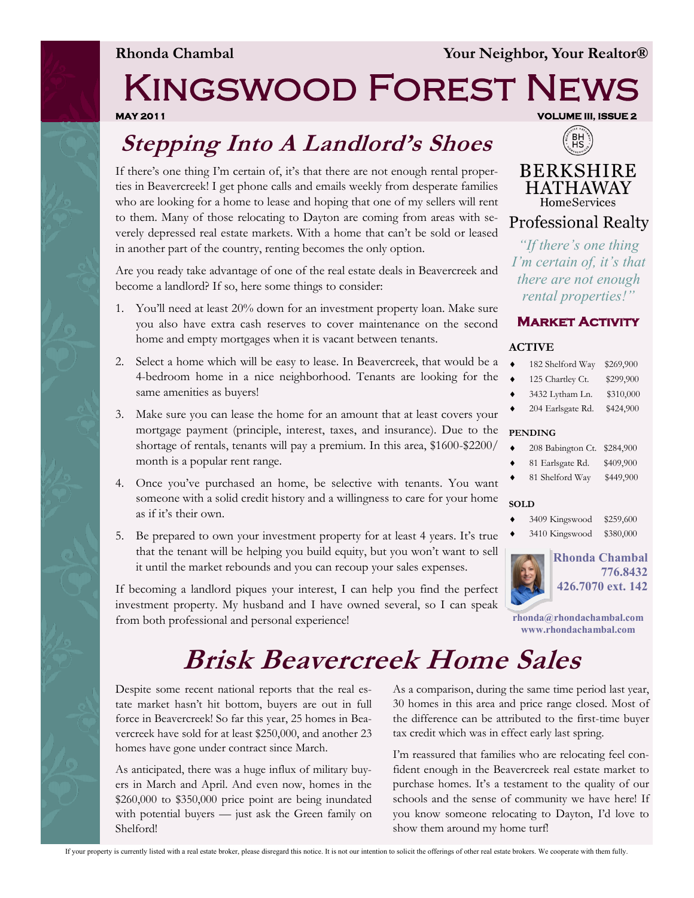### Kingswood Forest News **MAY 2011 VOLUME III, ISSUE 2**

### **Stepping Into A Landlord's Shoes**

If there's one thing I'm certain of, it's that there are not enough rental properties in Beavercreek! I get phone calls and emails weekly from desperate families who are looking for a home to lease and hoping that one of my sellers will rent to them. Many of those relocating to Dayton are coming from areas with severely depressed real estate markets. With a home that can't be sold or leased in another part of the country, renting becomes the only option.

Are you ready take advantage of one of the real estate deals in Beavercreek and become a landlord? If so, here some things to consider:

- 1. You'll need at least 20% down for an investment property loan. Make sure you also have extra cash reserves to cover maintenance on the second home and empty mortgages when it is vacant between tenants.
- 2. Select a home which will be easy to lease. In Beavercreek, that would be a 4-bedroom home in a nice neighborhood. Tenants are looking for the same amenities as buyers!
- 3. Make sure you can lease the home for an amount that at least covers your mortgage payment (principle, interest, taxes, and insurance). Due to the shortage of rentals, tenants will pay a premium. In this area, \$1600-\$2200/ month is a popular rent range.
- 4. Once you've purchased an home, be selective with tenants. You want someone with a solid credit history and a willingness to care for your home as if it's their own.
- 5. Be prepared to own your investment property for at least 4 years. It's true that the tenant will be helping you build equity, but you won't want to sell it until the market rebounds and you can recoup your sales expenses.

If becoming a landlord piques your interest, I can help you find the perfect investment property. My husband and I have owned several, so I can speak from both professional and personal experience!



**BERKSHIRE HATHAWAY** HomeServices

**Professional Realty** 

*"If there's one thing I'm certain of, it's that there are not enough rental properties!"*



#### **ACTIVE**

|  | 182 Shelford Way | \$269,900 |
|--|------------------|-----------|
|--|------------------|-----------|

- 125 Chartley Ct. \$299,900
- 3432 Lytham Ln. \$310,000
- 204 Earlsgate Rd. \$424,900

#### **PENDING**

| ٠ | 208 Babington Ct. \$284,900 |  |  |
|---|-----------------------------|--|--|
|---|-----------------------------|--|--|

- 81 Earlsgate Rd. \$409,900
- 81 Shelford Way \$449,900

#### **SOLD**

- 3409 Kingswood \$259,600
- 3410 Kingswood \$380,000



**rhonda@rhondachambal.com www.rhondachambal.com**

# **Brisk Beavercreek Home Sales**

Despite some recent national reports that the real estate market hasn't hit bottom, buyers are out in full force in Beavercreek! So far this year, 25 homes in Beavercreek have sold for at least \$250,000, and another 23 homes have gone under contract since March.

As anticipated, there was a huge influx of military buyers in March and April. And even now, homes in the \$260,000 to \$350,000 price point are being inundated with potential buyers — just ask the Green family on Shelford!

As a comparison, during the same time period last year, 30 homes in this area and price range closed. Most of the difference can be attributed to the first-time buyer tax credit which was in effect early last spring.

I'm reassured that families who are relocating feel confident enough in the Beavercreek real estate market to purchase homes. It's a testament to the quality of our schools and the sense of community we have here! If you know someone relocating to Dayton, I'd love to show them around my home turf!